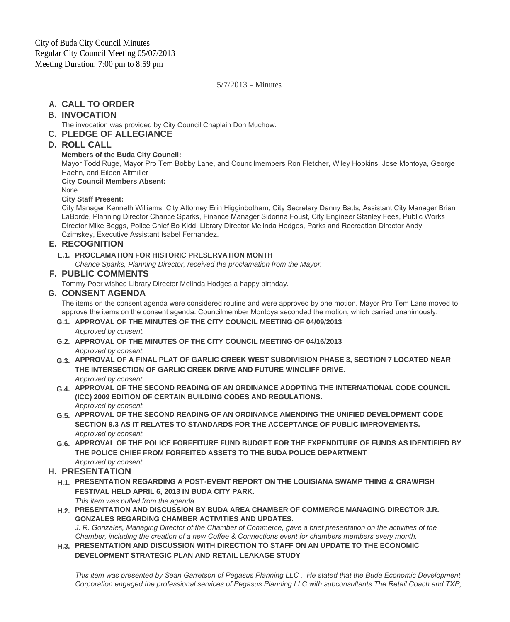5/7/2013 - Minutes

# **CALL TO ORDER A.**

# **INVOCATION B.**

The invocation was provided by City Council Chaplain Don Muchow.

**PLEDGE OF ALLEGIANCE C.**

# **ROLL CALL D.**

### **Members of the Buda City Council:**

Mayor Todd Ruge, Mayor Pro Tem Bobby Lane, and Councilmembers Ron Fletcher, Wiley Hopkins, Jose Montoya, George Haehn, and Eileen Altmiller

**City Council Members Absent:**

None

### **City Staff Present:**

City Manager Kenneth Williams, City Attorney Erin Higginbotham, City Secretary Danny Batts, Assistant City Manager Brian LaBorde, Planning Director Chance Sparks, Finance Manager Sidonna Foust, City Engineer Stanley Fees, Public Works Director Mike Beggs, Police Chief Bo Kidd, Library Director Melinda Hodges, Parks and Recreation Director Andy Czimskey, Executive Assistant Isabel Fernandez.

## **RECOGNITION E.**

### **PROCLAMATION FOR HISTORIC PRESERVATION MONTH E.1.**

*Chance Sparks, Planning Director, received the proclamation from the Mayor.*

## **PUBLIC COMMENTS F.**

Tommy Poer wished Library Director Melinda Hodges a happy birthday.

### **CONSENT AGENDA G.**

The items on the consent agenda were considered routine and were approved by one motion. Mayor Pro Tem Lane moved to approve the items on the consent agenda. Councilmember Montoya seconded the motion, which carried unanimously.

- **APPROVAL OF THE MINUTES OF THE CITY COUNCIL MEETING OF 04/09/2013 G.1.** *Approved by consent.*
- **APPROVAL OF THE MINUTES OF THE CITY COUNCIL MEETING OF 04/16/2013 G.2.** *Approved by consent.*
- **APPROVAL OF A FINAL PLAT OF GARLIC CREEK WEST SUBDIVISION PHASE 3, SECTION 7 LOCATED NEAR G.3. THE INTERSECTION OF GARLIC CREEK DRIVE AND FUTURE WINCLIFF DRIVE.** *Approved by consent.*
- **APPROVAL OF THE SECOND READING OF AN ORDINANCE ADOPTING THE INTERNATIONAL CODE COUNCIL G.4. (ICC) 2009 EDITION OF CERTAIN BUILDING CODES AND REGULATIONS.**  *Approved by consent.*
- **APPROVAL OF THE SECOND READING OF AN ORDINANCE AMENDING THE UNIFIED DEVELOPMENT CODE G.5. SECTION 9.3 AS IT RELATES TO STANDARDS FOR THE ACCEPTANCE OF PUBLIC IMPROVEMENTS.** *Approved by consent.*
- **APPROVAL OF THE POLICE FORFEITURE FUND BUDGET FOR THE EXPENDITURE OF FUNDS AS IDENTIFIED BY G.6. THE POLICE CHIEF FROM FORFEITED ASSETS TO THE BUDA POLICE DEPARTMENT** *Approved by consent.*

# **PRESENTATION H.**

**PRESENTATION REGARDING A POST-EVENT REPORT ON THE LOUISIANA SWAMP THING & CRAWFISH H.1. FESTIVAL HELD APRIL 6, 2013 IN BUDA CITY PARK.**

*This item was pulled from the agenda.*

**PRESENTATION AND DISCUSSION BY BUDA AREA CHAMBER OF COMMERCE MANAGING DIRECTOR J.R. H.2. GONZALES REGARDING CHAMBER ACTIVITIES AND UPDATES.** 

*J. R. Gonzales, Managing Director of the Chamber of Commerce, gave a brief presentation on the activities of the Chamber, including the creation of a new Coffee & Connections event for chambers members every month.* 

**PRESENTATION AND DISCUSSION WITH DIRECTION TO STAFF ON AN UPDATE TO THE ECONOMIC H.3. DEVELOPMENT STRATEGIC PLAN AND RETAIL LEAKAGE STUDY**

*This item was presented by Sean Garretson of Pegasus Planning LLC . He stated that the Buda Economic Development Corporation engaged the professional services of Pegasus Planning LLC with subconsultants The Retail Coach and TXP,*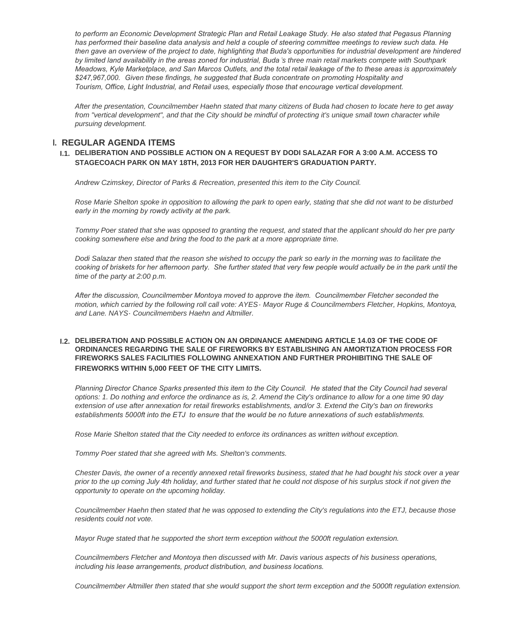to perform an Economic Development Strategic Plan and Retail Leakage Study. He also stated that Pegasus Planning *has performed their baseline data analysis and held a couple of steering committee meetings to review such data. He then gave an overview of the project to date, highlighting that Buda's opportunities for industrial development are hindered by limited land availability in the areas zoned for industrial, Buda 's three main retail markets compete with Southpark Meadows, Kyle Marketplace, and San Marcos Outlets, and the total retail leakage of the to these areas is approximately \$247,967,000. Given these findings, he suggested that Buda concentrate on promoting Hospitality and Tourism, Office, Light Industrial, and Retail uses, especially those that encourage vertical development.* 

*After the presentation, Councilmember Haehn stated that many citizens of Buda had chosen to locate here to get away*  from "vertical development", and that the City should be mindful of protecting it's unique small town character while *pursuing development.*

## **REGULAR AGENDA ITEMS I.**

#### **DELIBERATION AND POSSIBLE ACTION ON A REQUEST BY DODI SALAZAR FOR A 3:00 A.M. ACCESS TO I.1. STAGECOACH PARK ON MAY 18TH, 2013 FOR HER DAUGHTER'S GRADUATION PARTY.**

*Andrew Czimskey, Director of Parks & Recreation, presented this item to the City Council.*

*Rose Marie Shelton spoke in opposition to allowing the park to open early, stating that she did not want to be disturbed early in the morning by rowdy activity at the park.* 

*Tommy Poer stated that she was opposed to granting the request, and stated that the applicant should do her pre party cooking somewhere else and bring the food to the park at a more appropriate time.*

*Dodi Salazar then stated that the reason she wished to occupy the park so early in the morning was to facilitate the*  cooking of briskets for her afternoon party. She further stated that very few people would actually be in the park until the *time of the party at 2:00 p.m.*

*After the discussion, Councilmember Montoya moved to approve the item. Councilmember Fletcher seconded the motion, which carried by the following roll call vote: AYES- Mayor Ruge & Councilmembers Fletcher, Hopkins, Montoya, and Lane. NAYS- Councilmembers Haehn and Altmiller.*

#### **DELIBERATION AND POSSIBLE ACTION ON AN ORDINANCE AMENDING ARTICLE 14.03 OF THE CODE OF I.2. ORDINANCES REGARDING THE SALE OF FIREWORKS BY ESTABLISHING AN AMORTIZATION PROCESS FOR FIREWORKS SALES FACILITIES FOLLOWING ANNEXATION AND FURTHER PROHIBITING THE SALE OF FIREWORKS WITHIN 5,000 FEET OF THE CITY LIMITS.**

*Planning Director Chance Sparks presented this item to the City Council. He stated that the City Council had several options: 1. Do nothing and enforce the ordinance as is, 2. Amend the City's ordinance to allow for a one time 90 day extension of use after annexation for retail fireworks establishments, and/or 3. Extend the City's ban on fireworks establishments 5000ft into the ETJ to ensure that the would be no future annexations of such establishments.*

*Rose Marie Shelton stated that the City needed to enforce its ordinances as written without exception.*

*Tommy Poer stated that she agreed with Ms. Shelton's comments.*

*Chester Davis, the owner of a recently annexed retail fireworks business, stated that he had bought his stock over a year prior to the up coming July 4th holiday, and further stated that he could not dispose of his surplus stock if not given the opportunity to operate on the upcoming holiday.*

*Councilmember Haehn then stated that he was opposed to extending the City's regulations into the ETJ, because those residents could not vote.*

*Mayor Ruge stated that he supported the short term exception without the 5000ft regulation extension.*

*Councilmembers Fletcher and Montoya then discussed with Mr. Davis various aspects of his business operations, including his lease arrangements, product distribution, and business locations.* 

*Councilmember Altmiller then stated that she would support the short term exception and the 5000ft regulation extension.*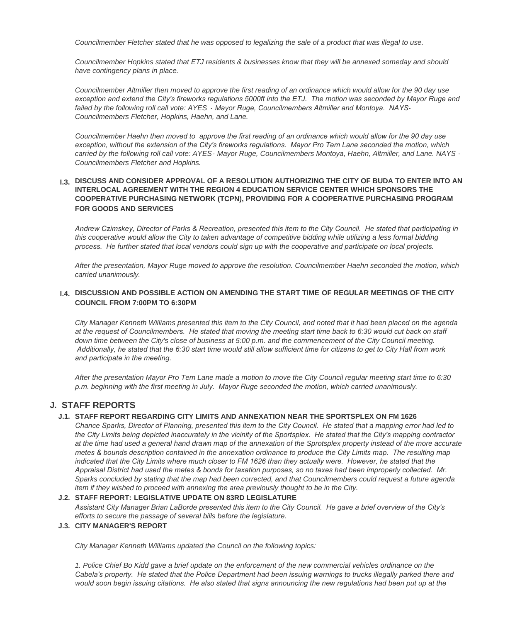*Councilmember Fletcher stated that he was opposed to legalizing the sale of a product that was illegal to use.*

*Councilmember Hopkins stated that ETJ residents & businesses know that they will be annexed someday and should have contingency plans in place.*

*Councilmember Altmiller then moved to approve the first reading of an ordinance which would allow for the 90 day use exception and extend the City's fireworks regulations 5000ft into the ETJ. The motion was seconded by Mayor Ruge and failed by the following roll call vote: AYES - Mayor Ruge, Councilmembers Altmiller and Montoya. NAYS-Councilmembers Fletcher, Hopkins, Haehn, and Lane.*

*Councilmember Haehn then moved to approve the first reading of an ordinance which would allow for the 90 day use exception, without the extension of the City's fireworks regulations. Mayor Pro Tem Lane seconded the motion, which carried by the following roll call vote: AYES- Mayor Ruge, Councilmembers Montoya, Haehn, Altmiller, and Lane. NAYS - Councilmembers Fletcher and Hopkins.*

#### **DISCUSS AND CONSIDER APPROVAL OF A RESOLUTION AUTHORIZING THE CITY OF BUDA TO ENTER INTO AN I.3. INTERLOCAL AGREEMENT WITH THE REGION 4 EDUCATION SERVICE CENTER WHICH SPONSORS THE COOPERATIVE PURCHASING NETWORK (TCPN), PROVIDING FOR A COOPERATIVE PURCHASING PROGRAM FOR GOODS AND SERVICES**

*Andrew Czimskey, Director of Parks & Recreation, presented this item to the City Council. He stated that participating in this cooperative would allow the City to taken advantage of competitive bidding while utilizing a less formal bidding process. He further stated that local vendors could sign up with the cooperative and participate on local projects.*

*After the presentation, Mayor Ruge moved to approve the resolution. Councilmember Haehn seconded the motion, which carried unanimously.*

#### **DISCUSSION AND POSSIBLE ACTION ON AMENDING THE START TIME OF REGULAR MEETINGS OF THE CITY I.4. COUNCIL FROM 7:00PM TO 6:30PM**

*City Manager Kenneth Williams presented this item to the City Council, and noted that it had been placed on the agenda at the request of Councilmembers. He stated that moving the meeting start time back to 6:30 would cut back on staff*  down time between the City's close of business at 5:00 p.m. and the commencement of the City Council meeting.  *Additionally, he stated that the 6:30 start time would still allow sufficient time for citizens to get to City Hall from work and participate in the meeting.* 

*After the presentation Mayor Pro Tem Lane made a motion to move the City Council regular meeting start time to 6:30 p.m. beginning with the first meeting in July. Mayor Ruge seconded the motion, which carried unanimously.*

## **STAFF REPORTS J.**

#### **STAFF REPORT REGARDING CITY LIMITS AND ANNEXATION NEAR THE SPORTSPLEX ON FM 1626 J.1.**

*Chance Sparks, Director of Planning, presented this item to the City Council. He stated that a mapping error had led to the City Limits being depicted inaccurately in the vicinity of the Sportsplex. He stated that the City's mapping contractor at the time had used a general hand drawn map of the annexation of the Sprotsplex property instead of the more accurate metes & bounds description contained in the annexation ordinance to produce the City Limits map. The resulting map*  indicated that the City Limits where much closer to FM 1626 than they actually were. However, he stated that the *Appraisal District had used the metes & bonds for taxation purposes, so no taxes had been improperly collected. Mr. Sparks concluded by stating that the map had been corrected, and that Councilmembers could request a future agenda item if they wished to proceed with annexing the area previously thought to be in the City.*

#### **STAFF REPORT: LEGISLATIVE UPDATE ON 83RD LEGISLATURE J.2.**

*Assistant City Manager Brian LaBorde presented this item to the City Council. He gave a brief overview of the City's efforts to secure the passage of several bills before the legislature.*

#### **CITY MANAGER'S REPORT J.3.**

*City Manager Kenneth Williams updated the Council on the following topics:*

*1. Police Chief Bo Kidd gave a brief update on the enforcement of the new commercial vehicles ordinance on the Cabela's property. He stated that the Police Department had been issuing warnings to trucks illegally parked there and would soon begin issuing citations. He also stated that signs announcing the new regulations had been put up at the*